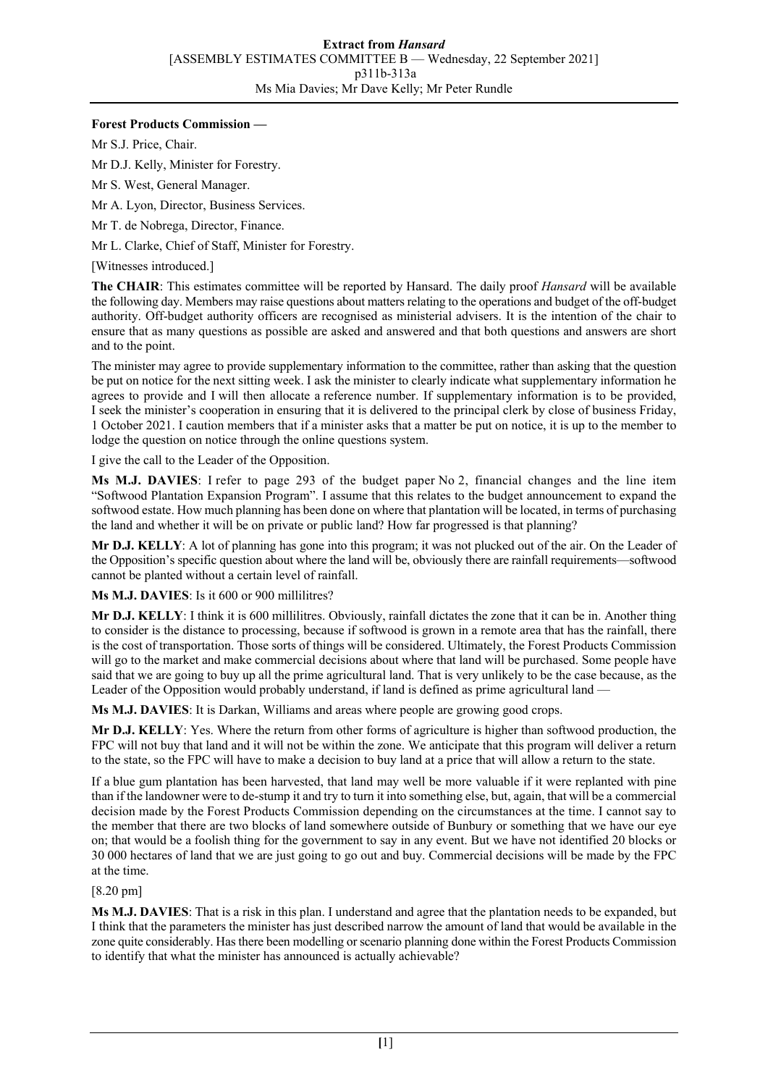## **Forest Products Commission —**

Mr S.J. Price, Chair.

Mr D.J. Kelly, Minister for Forestry.

Mr S. West, General Manager.

Mr A. Lyon, Director, Business Services.

Mr T. de Nobrega, Director, Finance.

Mr L. Clarke, Chief of Staff, Minister for Forestry.

[Witnesses introduced.]

**The CHAIR**: This estimates committee will be reported by Hansard. The daily proof *Hansard* will be available the following day. Members may raise questions about matters relating to the operations and budget of the off-budget authority. Off-budget authority officers are recognised as ministerial advisers. It is the intention of the chair to ensure that as many questions as possible are asked and answered and that both questions and answers are short and to the point.

The minister may agree to provide supplementary information to the committee, rather than asking that the question be put on notice for the next sitting week. I ask the minister to clearly indicate what supplementary information he agrees to provide and I will then allocate a reference number. If supplementary information is to be provided, I seek the minister's cooperation in ensuring that it is delivered to the principal clerk by close of business Friday, 1 October 2021. I caution members that if a minister asks that a matter be put on notice, it is up to the member to lodge the question on notice through the online questions system.

I give the call to the Leader of the Opposition.

**Ms M.J. DAVIES**: I refer to page 293 of the budget paper No 2, financial changes and the line item "Softwood Plantation Expansion Program". I assume that this relates to the budget announcement to expand the softwood estate. How much planning has been done on where that plantation will be located, in terms of purchasing the land and whether it will be on private or public land? How far progressed is that planning?

**Mr D.J. KELLY**: A lot of planning has gone into this program; it was not plucked out of the air. On the Leader of the Opposition's specific question about where the land will be, obviously there are rainfall requirements—softwood cannot be planted without a certain level of rainfall.

**Ms M.J. DAVIES**: Is it 600 or 900 millilitres?

**Mr D.J. KELLY**: I think it is 600 millilitres. Obviously, rainfall dictates the zone that it can be in. Another thing to consider is the distance to processing, because if softwood is grown in a remote area that has the rainfall, there is the cost of transportation. Those sorts of things will be considered. Ultimately, the Forest Products Commission will go to the market and make commercial decisions about where that land will be purchased. Some people have said that we are going to buy up all the prime agricultural land. That is very unlikely to be the case because, as the Leader of the Opposition would probably understand, if land is defined as prime agricultural land –

**Ms M.J. DAVIES**: It is Darkan, Williams and areas where people are growing good crops.

**Mr D.J. KELLY**: Yes. Where the return from other forms of agriculture is higher than softwood production, the FPC will not buy that land and it will not be within the zone. We anticipate that this program will deliver a return to the state, so the FPC will have to make a decision to buy land at a price that will allow a return to the state.

If a blue gum plantation has been harvested, that land may well be more valuable if it were replanted with pine than if the landowner were to de-stump it and try to turn it into something else, but, again, that will be a commercial decision made by the Forest Products Commission depending on the circumstances at the time. I cannot say to the member that there are two blocks of land somewhere outside of Bunbury or something that we have our eye on; that would be a foolish thing for the government to say in any event. But we have not identified 20 blocks or 30 000 hectares of land that we are just going to go out and buy. Commercial decisions will be made by the FPC at the time.

[8.20 pm]

**Ms M.J. DAVIES**: That is a risk in this plan. I understand and agree that the plantation needs to be expanded, but I think that the parameters the minister has just described narrow the amount of land that would be available in the zone quite considerably. Has there been modelling or scenario planning done within the Forest Products Commission to identify that what the minister has announced is actually achievable?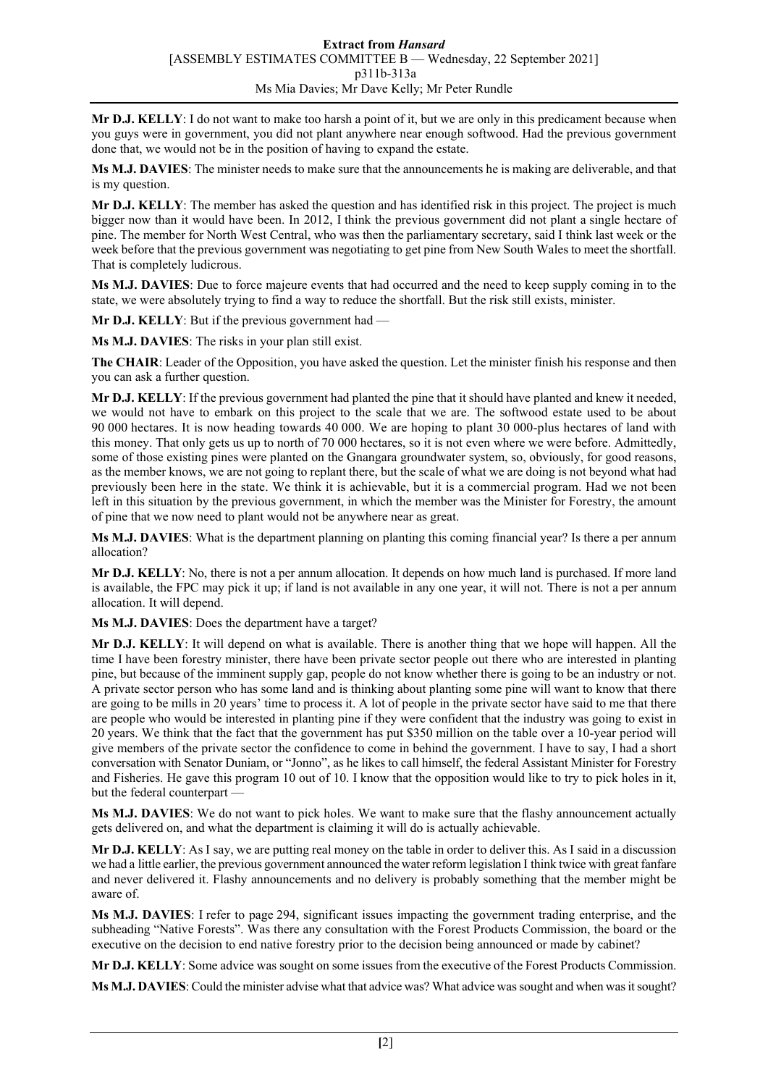**Mr D.J. KELLY**: I do not want to make too harsh a point of it, but we are only in this predicament because when you guys were in government, you did not plant anywhere near enough softwood. Had the previous government done that, we would not be in the position of having to expand the estate.

**Ms M.J. DAVIES**: The minister needs to make sure that the announcements he is making are deliverable, and that is my question.

**Mr D.J. KELLY**: The member has asked the question and has identified risk in this project. The project is much bigger now than it would have been. In 2012, I think the previous government did not plant a single hectare of pine. The member for North West Central, who was then the parliamentary secretary, said I think last week or the week before that the previous government was negotiating to get pine from New South Wales to meet the shortfall. That is completely ludicrous.

**Ms M.J. DAVIES**: Due to force majeure events that had occurred and the need to keep supply coming in to the state, we were absolutely trying to find a way to reduce the shortfall. But the risk still exists, minister.

**Mr D.J. KELLY**: But if the previous government had —

**Ms M.J. DAVIES**: The risks in your plan still exist.

**The CHAIR**: Leader of the Opposition, you have asked the question. Let the minister finish his response and then you can ask a further question.

**Mr D.J. KELLY**: If the previous government had planted the pine that it should have planted and knew it needed, we would not have to embark on this project to the scale that we are. The softwood estate used to be about 90 000 hectares. It is now heading towards 40 000. We are hoping to plant 30 000-plus hectares of land with this money. That only gets us up to north of 70 000 hectares, so it is not even where we were before. Admittedly, some of those existing pines were planted on the Gnangara groundwater system, so, obviously, for good reasons, as the member knows, we are not going to replant there, but the scale of what we are doing is not beyond what had previously been here in the state. We think it is achievable, but it is a commercial program. Had we not been left in this situation by the previous government, in which the member was the Minister for Forestry, the amount of pine that we now need to plant would not be anywhere near as great.

**Ms M.J. DAVIES**: What is the department planning on planting this coming financial year? Is there a per annum allocation?

**Mr D.J. KELLY**: No, there is not a per annum allocation. It depends on how much land is purchased. If more land is available, the FPC may pick it up; if land is not available in any one year, it will not. There is not a per annum allocation. It will depend.

**Ms M.J. DAVIES**: Does the department have a target?

**Mr D.J. KELLY**: It will depend on what is available. There is another thing that we hope will happen. All the time I have been forestry minister, there have been private sector people out there who are interested in planting pine, but because of the imminent supply gap, people do not know whether there is going to be an industry or not. A private sector person who has some land and is thinking about planting some pine will want to know that there are going to be mills in 20 years' time to process it. A lot of people in the private sector have said to me that there are people who would be interested in planting pine if they were confident that the industry was going to exist in 20 years. We think that the fact that the government has put \$350 million on the table over a 10-year period will give members of the private sector the confidence to come in behind the government. I have to say, I had a short conversation with Senator Duniam, or "Jonno", as he likes to call himself, the federal Assistant Minister for Forestry and Fisheries. He gave this program 10 out of 10. I know that the opposition would like to try to pick holes in it, but the federal counterpart -

**Ms M.J. DAVIES**: We do not want to pick holes. We want to make sure that the flashy announcement actually gets delivered on, and what the department is claiming it will do is actually achievable.

**Mr D.J. KELLY**: As I say, we are putting real money on the table in order to deliver this. As I said in a discussion we had a little earlier, the previous government announced the water reform legislation I think twice with great fanfare and never delivered it. Flashy announcements and no delivery is probably something that the member might be aware of.

**Ms M.J. DAVIES**: I refer to page 294, significant issues impacting the government trading enterprise, and the subheading "Native Forests". Was there any consultation with the Forest Products Commission, the board or the executive on the decision to end native forestry prior to the decision being announced or made by cabinet?

**Mr D.J. KELLY**: Some advice was sought on some issues from the executive of the Forest Products Commission.

**Ms M.J. DAVIES**: Could the minister advise what that advice was? What advice was sought and when was it sought?